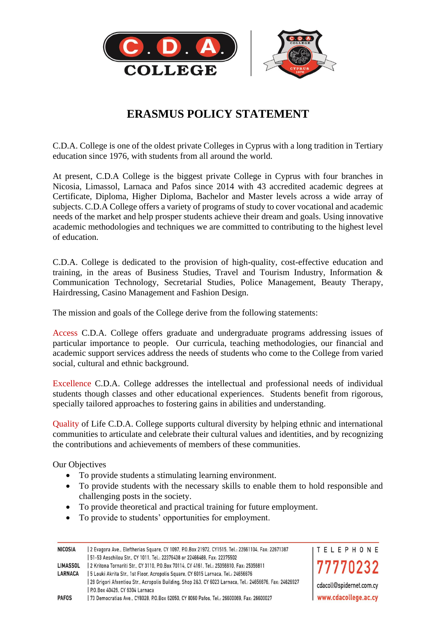

## **ERASMUS POLICY STATEMENT**

C.D.A. College is one of the oldest private Colleges in Cyprus with a long tradition in Tertiary education since 1976, with students from all around the world.

At present, C.D.A College is the biggest private College in Cyprus with four branches in Nicosia, Limassol, Larnaca and Pafos since 2014 with 43 accredited academic degrees at Certificate, Diploma, Higher Diploma, Bachelor and Master levels across a wide array of subjects. C.D.A College offers a variety of programs of study to cover vocational and academic needs of the market and help prosper students achieve their dream and goals. Using innovative academic methodologies and techniques we are committed to contributing to the highest level of education.

C.D.A. College is dedicated to the provision of high-quality, cost-effective education and training, in the areas of Business Studies, Travel and Tourism Industry, Information & Communication Technology, Secretarial Studies, Police Management, Beauty Therapy, Hairdressing, Casino Management and Fashion Design.

The mission and goals of the College derive from the following statements:

Access C.D.A. College offers graduate and undergraduate programs addressing issues of particular importance to people. Our curricula, teaching methodologies, our financial and academic support services address the needs of students who come to the College from varied social, cultural and ethnic background.

Excellence C.D.A. College addresses the intellectual and professional needs of individual students though classes and other educational experiences. Students benefit from rigorous, specially tailored approaches to fostering gains in abilities and understanding.

Quality of Life C.D.A. College supports cultural diversity by helping ethnic and international communities to articulate and celebrate their cultural values and identities, and by recognizing the contributions and achievements of members of these communities.

Our Objectives

- To provide students a stimulating learning environment.
- To provide students with the necessary skills to enable them to hold responsible and challenging posts in the society.
- To provide theoretical and practical training for future employment.
- To provide to students' opportunities for employment.

NICOSIA | 2 Evagora Ave., Eleftherias Square, CY 1097, P.O.Box 21972, CY1515, Tel.: 22661104, Fax: 22671387 51-53 Aeschilou Str., CY 1011, Tel.: 22376438 or 22466488, Fax: 22375502 LIMASSOL | 2 Kritona Tornariti Str., CY 3110, P.O.Box 70114, CY 4161, Tel.: 25356810, Fax: 25356811 **LARNACA** 5 Louki Akrita Str., 1st Floor, Acropolis Square, CY 6015 Larnaca, Tel.: 24656676 | 28 Grigori Afxentiou Str., Acropolis Building, Shop 2&3, CY 6023 Larnaca, Tel.: 24656676, Fax: 24626927 P.O.Box 40426, CY 6304 Larnaca **PAFOS** | 73 Democratias Ave., CY8028, P.O.Box 62050, CY 8060 Pafos, Tel.: 26600069, Fax: 26600027

**TELEPHONE** cdacoll@spidernet.com.cy www.cdacollege.ac.cy